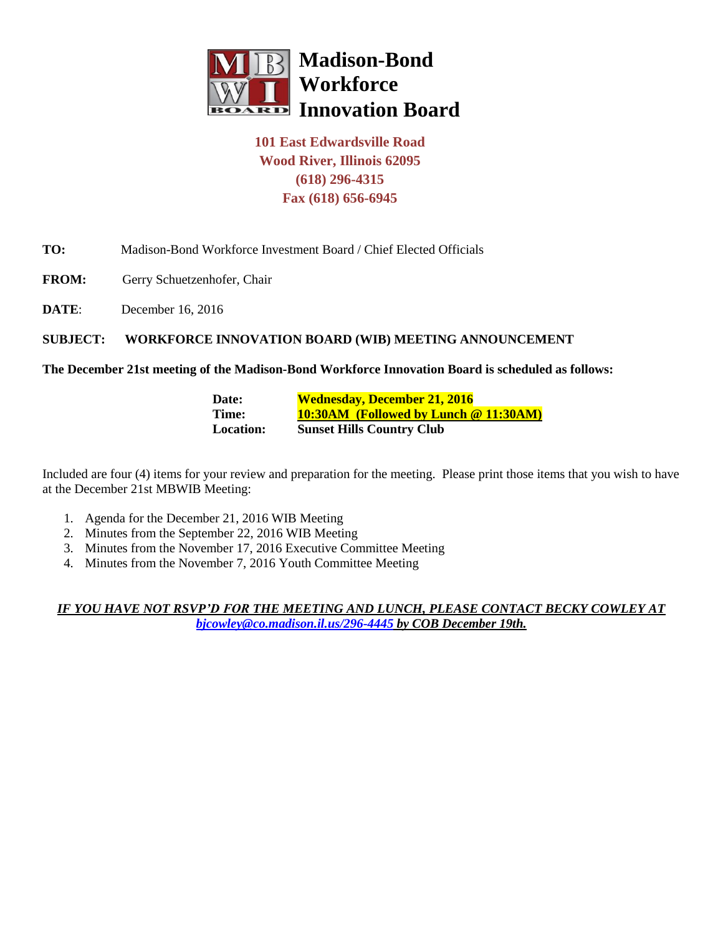

# **101 East Edwardsville Road Wood River, Illinois 62095 (618) 296-4315 Fax (618) 656-6945**

## **TO:** Madison-Bond Workforce Investment Board / Chief Elected Officials

- FROM: Gerry Schuetzenhofer, Chair
- **DATE:** December 16, 2016

### **SUBJECT: WORKFORCE INNOVATION BOARD (WIB) MEETING ANNOUNCEMENT**

#### **The December 21st meeting of the Madison-Bond Workforce Innovation Board is scheduled as follows:**

| Date:            | <b>Wednesday, December 21, 2016</b>   |
|------------------|---------------------------------------|
| Time:            | 10:30AM (Followed by Lunch @ 11:30AM) |
| <b>Location:</b> | <b>Sunset Hills Country Club</b>      |

Included are four (4) items for your review and preparation for the meeting. Please print those items that you wish to have at the December 21st MBWIB Meeting:

- 1. Agenda for the December 21, 2016 WIB Meeting
- 2. Minutes from the September 22, 2016 WIB Meeting
- 3. Minutes from the November 17, 2016 Executive Committee Meeting
- 4. Minutes from the November 7, 2016 Youth Committee Meeting

*IF YOU HAVE NOT RSVP'D FOR THE MEETING AND LUNCH, PLEASE CONTACT BECKY COWLEY AT [bjcowley@co.madison.il.us/](mailto:bjcowley@co.madison.il.us)296-4445 by COB December 19th.*